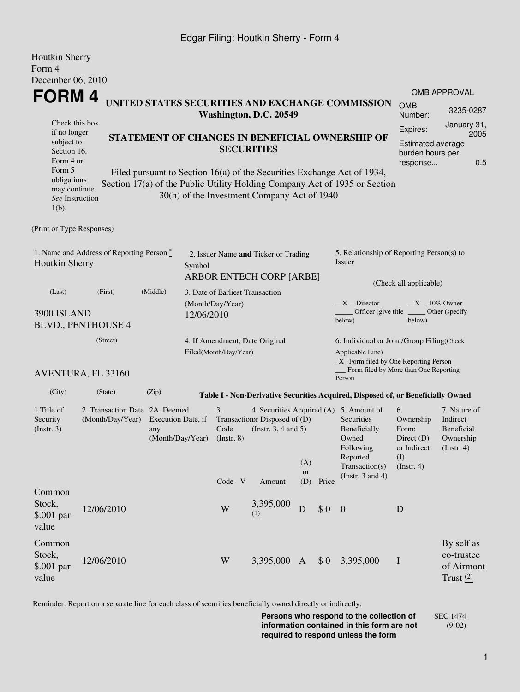### Edgar Filing: Houtkin Sherry - Form 4

| <b>Houtkin Sherry</b>                                                                       |                                                    |                                                                      |                                                                                   |                                         |  |                                                                   |                         |                        |                                                                                                                                                       |                                                                               |                                                                             |  |  |
|---------------------------------------------------------------------------------------------|----------------------------------------------------|----------------------------------------------------------------------|-----------------------------------------------------------------------------------|-----------------------------------------|--|-------------------------------------------------------------------|-------------------------|------------------------|-------------------------------------------------------------------------------------------------------------------------------------------------------|-------------------------------------------------------------------------------|-----------------------------------------------------------------------------|--|--|
| Form 4                                                                                      |                                                    |                                                                      |                                                                                   |                                         |  |                                                                   |                         |                        |                                                                                                                                                       |                                                                               |                                                                             |  |  |
| December 06, 2010                                                                           |                                                    |                                                                      |                                                                                   |                                         |  |                                                                   |                         |                        |                                                                                                                                                       |                                                                               |                                                                             |  |  |
| <b>FORM4</b>                                                                                |                                                    |                                                                      |                                                                                   |                                         |  |                                                                   |                         |                        |                                                                                                                                                       |                                                                               | <b>OMB APPROVAL</b>                                                         |  |  |
| UNITED STATES SECURITIES AND EXCHANGE COMMISSION<br>Washington, D.C. 20549                  |                                                    |                                                                      |                                                                                   |                                         |  |                                                                   |                         | <b>OMB</b><br>Number:  | 3235-0287                                                                                                                                             |                                                                               |                                                                             |  |  |
|                                                                                             | Check this box<br>if no longer                     |                                                                      |                                                                                   |                                         |  |                                                                   |                         |                        | Expires:                                                                                                                                              | January 31,<br>2005                                                           |                                                                             |  |  |
| subject to<br>Section 16.<br>Form 4 or                                                      |                                                    | STATEMENT OF CHANGES IN BENEFICIAL OWNERSHIP OF<br><b>SECURITIES</b> |                                                                                   |                                         |  |                                                                   |                         |                        |                                                                                                                                                       |                                                                               | Estimated average<br>burden hours per<br>0.5<br>response                    |  |  |
| Form 5<br>obligations<br>may continue.<br>See Instruction<br>$1(b)$ .                       |                                                    |                                                                      |                                                                                   |                                         |  | 30(h) of the Investment Company Act of 1940                       |                         |                        | Filed pursuant to Section 16(a) of the Securities Exchange Act of 1934,<br>Section 17(a) of the Public Utility Holding Company Act of 1935 or Section |                                                                               |                                                                             |  |  |
| (Print or Type Responses)                                                                   |                                                    |                                                                      |                                                                                   |                                         |  |                                                                   |                         |                        |                                                                                                                                                       |                                                                               |                                                                             |  |  |
| 1. Name and Address of Reporting Person $\stackrel{*}{\mathbb{L}}$<br><b>Houtkin Sherry</b> |                                                    |                                                                      | 2. Issuer Name and Ticker or Trading<br>Symbol<br><b>ARBOR ENTECH CORP [ARBE]</b> |                                         |  |                                                                   |                         |                        | 5. Relationship of Reporting Person(s) to<br>Issuer                                                                                                   |                                                                               |                                                                             |  |  |
| (Last)                                                                                      | (First)                                            | (Middle)                                                             | 3. Date of Earliest Transaction                                                   |                                         |  |                                                                   |                         | (Check all applicable) |                                                                                                                                                       |                                                                               |                                                                             |  |  |
|                                                                                             |                                                    |                                                                      |                                                                                   | (Month/Day/Year)                        |  |                                                                   |                         |                        | $X_1$ 10% Owner<br>$X$ Director                                                                                                                       |                                                                               |                                                                             |  |  |
| 3900 ISLAND                                                                                 | <b>BLVD., PENTHOUSE 4</b>                          |                                                                      | 12/06/2010                                                                        |                                         |  |                                                                   |                         |                        | Officer (give title)<br>below)                                                                                                                        | below)                                                                        | Other (specify                                                              |  |  |
|                                                                                             | (Street)                                           |                                                                      |                                                                                   | 4. If Amendment, Date Original          |  |                                                                   |                         |                        | 6. Individual or Joint/Group Filing(Check                                                                                                             |                                                                               |                                                                             |  |  |
|                                                                                             |                                                    |                                                                      |                                                                                   | Filed(Month/Day/Year)                   |  |                                                                   |                         |                        | Applicable Line)<br>$\_X$ Form filed by One Reporting Person<br>Form filed by More than One Reporting                                                 |                                                                               |                                                                             |  |  |
|                                                                                             | AVENTURA, FL 33160                                 |                                                                      |                                                                                   |                                         |  |                                                                   |                         |                        | Person                                                                                                                                                |                                                                               |                                                                             |  |  |
| (City)                                                                                      | (State)                                            | (Zip)                                                                |                                                                                   |                                         |  |                                                                   |                         |                        | Table I - Non-Derivative Securities Acquired, Disposed of, or Beneficially Owned                                                                      |                                                                               |                                                                             |  |  |
| 1. Title of<br>Security<br>(Insert. 3)                                                      | 2. Transaction Date 2A. Deemed<br>(Month/Day/Year) | Execution Date, if<br>any<br>(Month/Day/Year)                        |                                                                                   | 3.<br>Code<br>$($ Instr. $8)$<br>Code V |  | Transaction Disposed of (D)<br>(Instr. $3, 4$ and $5$ )<br>Amount | (A)<br><b>or</b><br>(D) | Price                  | 4. Securities Acquired (A) 5. Amount of<br>Securities<br>Beneficially<br>Owned<br>Following<br>Reported<br>Transaction(s)<br>(Instr. $3$ and $4$ )    | 6.<br>Ownership<br>Form:<br>Direct $(D)$<br>or Indirect<br>(I)<br>(Insert. 4) | 7. Nature of<br>Indirect<br><b>Beneficial</b><br>Ownership<br>$($ lnstr. 4) |  |  |
| Common<br>Stock,<br>$$.001\,\mathrm{par}$<br>value                                          | 12/06/2010                                         |                                                                      |                                                                                   | W                                       |  | 3,395,000<br>(1)                                                  | D                       | \$0 0                  |                                                                                                                                                       | D                                                                             |                                                                             |  |  |
| Common<br>Stock,<br>$$.001\,\mathrm{par}$<br>value                                          | 12/06/2010                                         |                                                                      |                                                                                   | W                                       |  | 3,395,000 A                                                       |                         | \$0                    | 3,395,000                                                                                                                                             | $\bf{I}$                                                                      | By self as<br>co-trustee<br>of Airmont<br>Trust $(2)$                       |  |  |

Reminder: Report on a separate line for each class of securities beneficially owned directly or indirectly.

**Persons who respond to the collection of information contained in this form are not required to respond unless the form** SEC 1474 (9-02)